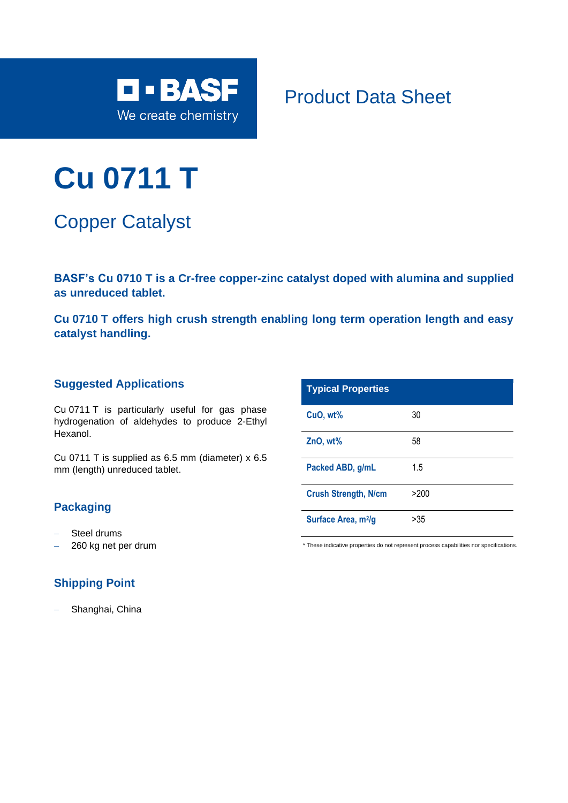

Product Data Sheet

# **Cu 0711 T**

Copper Catalyst

**BASF's Cu 0710 T is a Cr-free copper-zinc catalyst doped with alumina and supplied as unreduced tablet.** 

**Cu 0710 T offers high crush strength enabling long term operation length and easy catalyst handling.**

#### **Suggested Applications**

Cu 0711 T is particularly useful for gas phase hydrogenation of aldehydes to produce 2-Ethyl Hexanol.

Cu 0711 T is supplied as 6.5 mm (diameter) x 6.5 mm (length) unreduced tablet.

### **Packaging**

- − Steel drums
- − 260 kg net per drum

## **Shipping Point**

Shanghai, China

| <b>Typical Properties</b>       |      |
|---------------------------------|------|
| CuO, wt%                        | 30   |
| ZnO, wt%                        | 58   |
| Packed ABD, g/mL                | 1.5  |
| <b>Crush Strength, N/cm</b>     | >200 |
| Surface Area, m <sup>2</sup> /g | >35  |

\* These indicative properties do not represent process capabilities nor specifications.